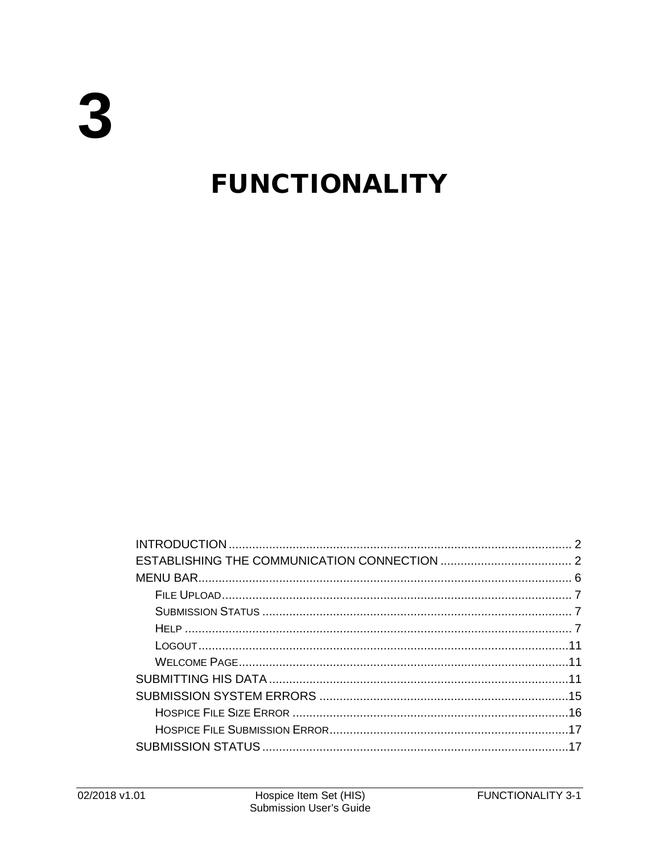# **FUNCTIONALITY**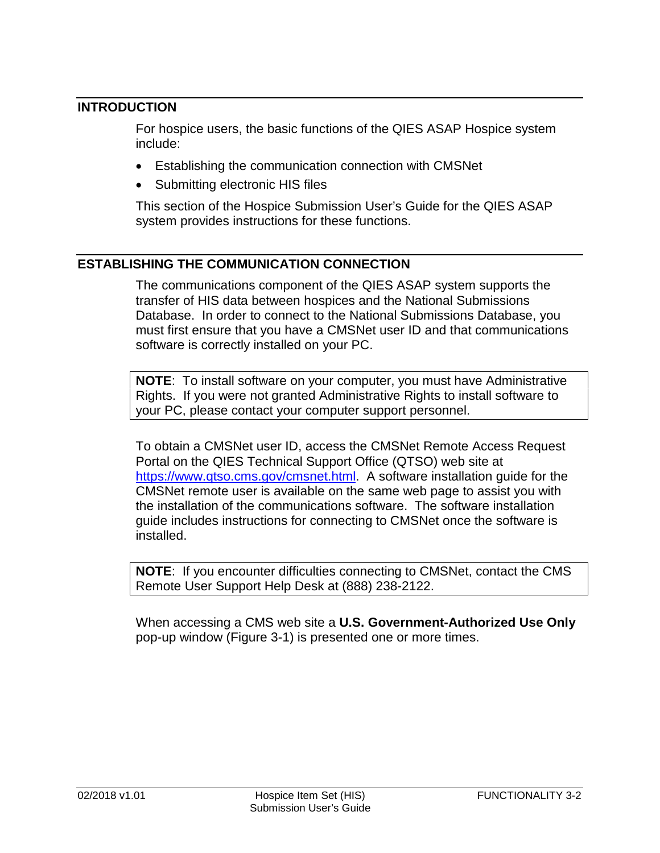# <span id="page-1-0"></span>**INTRODUCTION**

For hospice users, the basic functions of the QIES ASAP Hospice system include:

- Establishing the communication connection with CMSNet
- Submitting electronic HIS files

This section of the Hospice Submission User's Guide for the QIES ASAP system provides instructions for these functions.

# <span id="page-1-1"></span>**ESTABLISHING THE COMMUNICATION CONNECTION**

The communications component of the QIES ASAP system supports the transfer of HIS data between hospices and the National Submissions Database. In order to connect to the National Submissions Database, you must first ensure that you have a CMSNet user ID and that communications software is correctly installed on your PC.

**NOTE**: To install software on your computer, you must have Administrative Rights. If you were not granted Administrative Rights to install software to your PC, please contact your computer support personnel.

To obtain a CMSNet user ID, access the CMSNet Remote Access Request Portal on the QIES Technical Support Office (QTSO) web site at [https://www.qtso.cms.gov/cmsnet.html.](https://www.qtso.cms.gov/cmsnet.html) A software installation guide for the CMSNet remote user is available on the same web page to assist you with the installation of the communications software. The software installation guide includes instructions for connecting to CMSNet once the software is installed.

**NOTE**: If you encounter difficulties connecting to CMSNet, contact the CMS Remote User Support Help Desk at (888) 238-2122.

When accessing a CMS web site a **U.S. Government-Authorized Use Only**  pop-up window (Figure 3-1) is presented one or more times.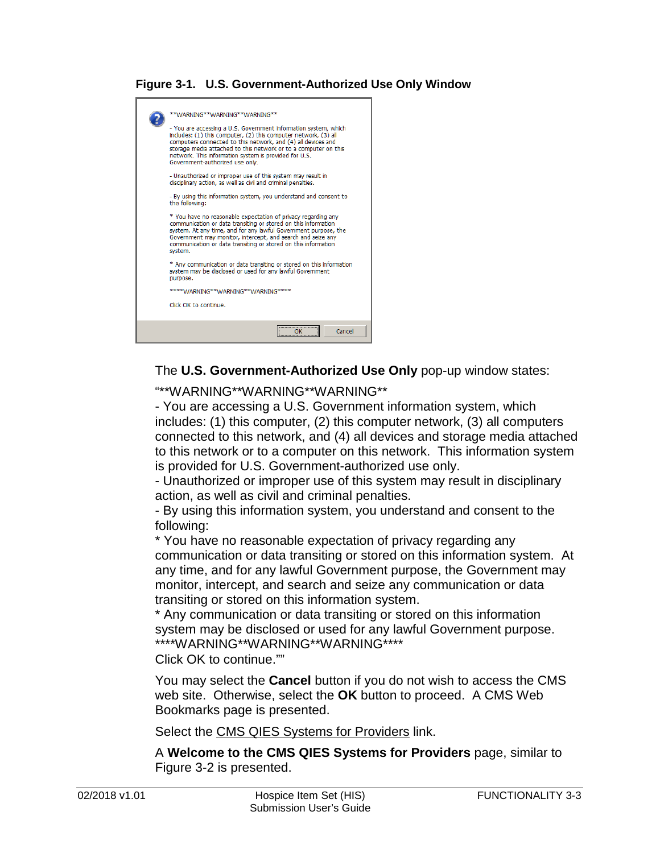#### **Figure 3-1. U.S. Government-Authorized Use Only Window**



The **U.S. Government-Authorized Use Only** pop-up window states:

"\*\*WARNING\*\*WARNING\*\*WARNING\*\*

- You are accessing a U.S. Government information system, which includes: (1) this computer, (2) this computer network, (3) all computers connected to this network, and (4) all devices and storage media attached to this network or to a computer on this network. This information system is provided for U.S. Government-authorized use only.

- Unauthorized or improper use of this system may result in disciplinary action, as well as civil and criminal penalties.

- By using this information system, you understand and consent to the following:

\* You have no reasonable expectation of privacy regarding any communication or data transiting or stored on this information system. At any time, and for any lawful Government purpose, the Government may monitor, intercept, and search and seize any communication or data transiting or stored on this information system.

\* Any communication or data transiting or stored on this information system may be disclosed or used for any lawful Government purpose. \*\*\*\*WARNING\*\*WARNING\*\*WARNING\*\*\*\*

Click OK to continue.""

You may select the **Cancel** button if you do not wish to access the CMS web site. Otherwise, select the **OK** button to proceed. A CMS Web Bookmarks page is presented.

Select the CMS QIES Systems for Providers link.

A **Welcome to the CMS QIES Systems for Providers** page, similar to Figure 3-2 is presented.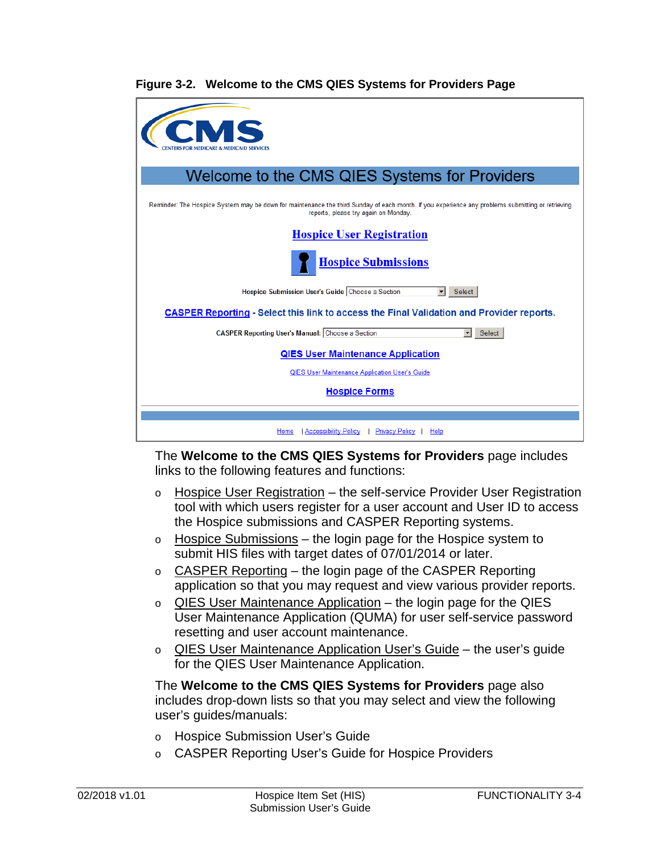#### **Figure 3-2. Welcome to the CMS QIES Systems for Providers Page**

| Welcome to the CMS QIES Systems for Providers                                                                                                                                            |
|------------------------------------------------------------------------------------------------------------------------------------------------------------------------------------------|
| Reminder: The Hospice System may be down for maintenance the third Sunday of each month. If you experience any problems submitting or retrieving<br>reports, please try again on Monday. |
| <b>Hospice User Registration</b>                                                                                                                                                         |
| <b>Hospice Submissions</b>                                                                                                                                                               |
| Hospice Submission User's Guide Choose a Section<br>Select                                                                                                                               |
| <b>CASPER Reporting - Select this link to access the Final Validation and Provider reports.</b>                                                                                          |
| <b>CASPER Reporting User's Manual: Choose a Section</b><br>Select                                                                                                                        |
| <b>QIES User Maintenance Application</b>                                                                                                                                                 |
| QIES User Maintenance Application User's Guide                                                                                                                                           |
| <b>Hospice Forms</b>                                                                                                                                                                     |
|                                                                                                                                                                                          |
| Accessibility Policy<br>  Privacy Policy<br>Home<br>Help                                                                                                                                 |

The **Welcome to the CMS QIES Systems for Providers** page includes links to the following features and functions:

- o Hospice User Registration the self-service Provider User Registration tool with which users register for a user account and User ID to access the Hospice submissions and CASPER Reporting systems.
- o Hospice Submissions the login page for the Hospice system to submit HIS files with target dates of 07/01/2014 or later.
- o CASPER Reporting the login page of the CASPER Reporting application so that you may request and view various provider reports.
- o QIES User Maintenance Application the login page for the QIES User Maintenance Application (QUMA) for user self-service password resetting and user account maintenance.
- o QIES User Maintenance Application User's Guide the user's guide for the QIES User Maintenance Application.

The **Welcome to the CMS QIES Systems for Providers** page also includes drop-down lists so that you may select and view the following user's guides/manuals:

- o Hospice Submission User's Guide
- o CASPER Reporting User's Guide for Hospice Providers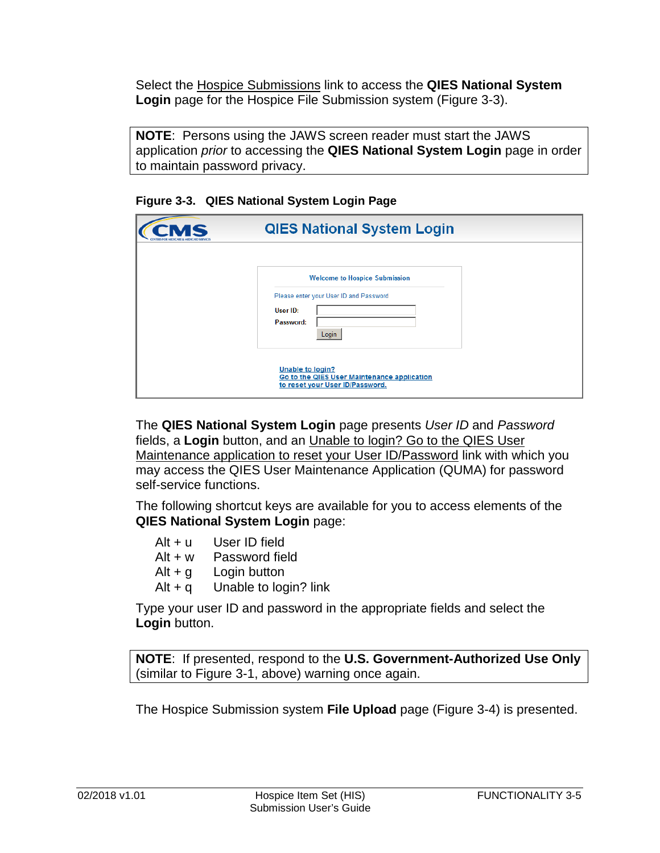Select the Hospice Submissions link to access the **QIES National System Login** page for the Hospice File Submission system (Figure 3-3).

**NOTE**: Persons using the JAWS screen reader must start the JAWS application *prior* to accessing the **QIES National System Login** page in order to maintain password privacy.

| <b>AS</b> | <b>QIES National System Login</b>                                                                  |
|-----------|----------------------------------------------------------------------------------------------------|
|           |                                                                                                    |
|           | <b>Welcome to Hospice Submission</b>                                                               |
|           | Please enter your User ID and Password                                                             |
|           | User ID:<br>Password:                                                                              |
|           | Login                                                                                              |
|           | Unable to login?<br>Go to the QIES User Maintenance application<br>to reset your User ID/Password. |

**Figure 3-3. QIES National System Login Page**

The **QIES National System Login** page presents *User ID* and *Password* fields, a **Login** button, and an Unable to login? Go to the QIES User Maintenance application to reset your User ID/Password link with which you may access the QIES User Maintenance Application (QUMA) for password self-service functions.

The following shortcut keys are available for you to access elements of the **QIES National System Login** page:

| User ID field         |
|-----------------------|
| Password field        |
| Login button          |
| Unable to login? link |
|                       |

Type your user ID and password in the appropriate fields and select the **Login** button.

**NOTE**: If presented, respond to the **U.S. Government-Authorized Use Only** (similar to Figure 3-1, above) warning once again.

The Hospice Submission system **File Upload** page (Figure 3-4) is presented.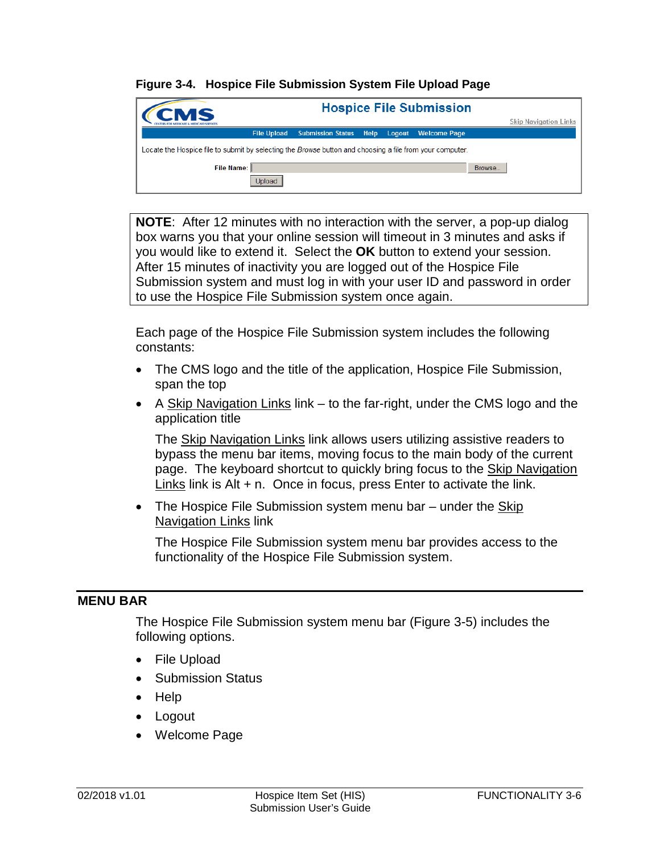#### **Figure 3-4. Hospice File Submission System File Upload Page**

| CMS                                                                                                      |                    |                               |        | <b>Hospice File Submission</b> |        |                              |
|----------------------------------------------------------------------------------------------------------|--------------------|-------------------------------|--------|--------------------------------|--------|------------------------------|
|                                                                                                          |                    |                               |        |                                |        | <b>Skip Navigation Links</b> |
|                                                                                                          | <b>File Upload</b> | <b>Submission Status Help</b> | Logout | <b>Welcome Page</b>            |        |                              |
| Locate the Hospice file to submit by selecting the Browse button and choosing a file from your computer. |                    |                               |        |                                |        |                              |
| File Name:                                                                                               |                    |                               |        |                                | Browse |                              |
|                                                                                                          | Upload             |                               |        |                                |        |                              |

**NOTE**: After 12 minutes with no interaction with the server, a pop-up dialog box warns you that your online session will timeout in 3 minutes and asks if you would like to extend it. Select the **OK** button to extend your session. After 15 minutes of inactivity you are logged out of the Hospice File Submission system and must log in with your user ID and password in order to use the Hospice File Submission system once again.

Each page of the Hospice File Submission system includes the following constants:

- The CMS logo and the title of the application, Hospice File Submission, span the top
- A Skip Navigation Links link to the far-right, under the CMS logo and the application title

The Skip Navigation Links link allows users utilizing assistive readers to bypass the menu bar items, moving focus to the main body of the current page. The keyboard shortcut to quickly bring focus to the Skip Navigation Links link is Alt + n. Once in focus, press Enter to activate the link.

• The Hospice File Submission system menu bar – under the Skip Navigation Links link

The Hospice File Submission system menu bar provides access to the functionality of the Hospice File Submission system.

# <span id="page-5-0"></span>**MENU BAR**

The Hospice File Submission system menu bar (Figure 3-5) includes the following options.

- File Upload
- Submission Status
- Help
- Logout
- Welcome Page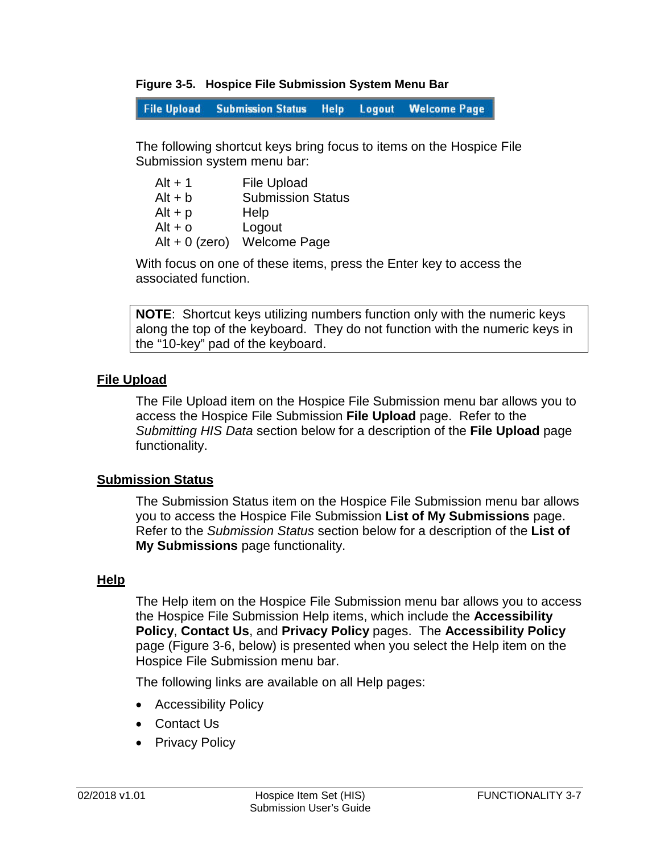#### **Figure 3-5. Hospice File Submission System Menu Bar**

**File Upload Submission Status Help** Logout **Welcome Page** 

The following shortcut keys bring focus to items on the Hospice File Submission system menu bar:

| $Alt + 1$        | <b>File Upload</b>       |
|------------------|--------------------------|
| $Alt + b$        | <b>Submission Status</b> |
| $Alt + p$        | Help                     |
| $Alt + o$        | Logout                   |
| Alt + $0$ (zero) | <b>Welcome Page</b>      |

With focus on one of these items, press the Enter key to access the associated function.

**NOTE**: Shortcut keys utilizing numbers function only with the numeric keys along the top of the keyboard. They do not function with the numeric keys in the "10-key" pad of the keyboard.

#### <span id="page-6-0"></span>**File Upload**

The File Upload item on the Hospice File Submission menu bar allows you to access the Hospice File Submission **File Upload** page. Refer to the *Submitting HIS Data* section below for a description of the **File Upload** page functionality.

# <span id="page-6-1"></span>**Submission Status**

The Submission Status item on the Hospice File Submission menu bar allows you to access the Hospice File Submission **List of My Submissions** page. Refer to the *Submission Status* section below for a description of the **List of My Submissions** page functionality.

#### <span id="page-6-2"></span>**Help**

The Help item on the Hospice File Submission menu bar allows you to access the Hospice File Submission Help items, which include the **Accessibility Policy**, **Contact Us**, and **Privacy Policy** pages. The **Accessibility Policy** page (Figure 3-6, below) is presented when you select the Help item on the Hospice File Submission menu bar.

The following links are available on all Help pages:

- Accessibility Policy
- Contact Us
- Privacy Policy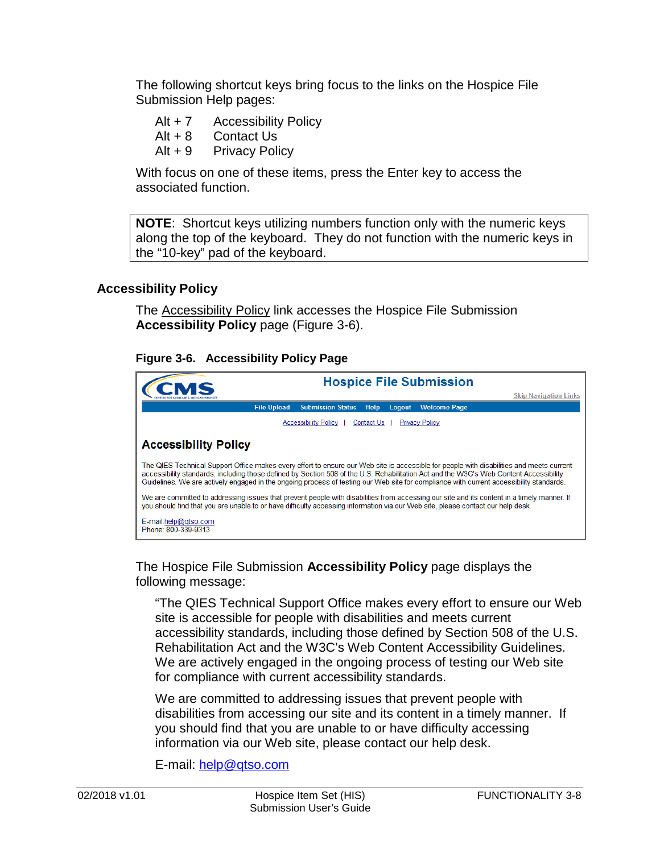The following shortcut keys bring focus to the links on the Hospice File Submission Help pages:

- Alt + 7 Accessibility Policy
- Alt + 8 Contact Us
- Alt + 9 Privacy Policy

With focus on one of these items, press the Enter key to access the associated function.

**NOTE**: Shortcut keys utilizing numbers function only with the numeric keys along the top of the keyboard. They do not function with the numeric keys in the "10-key" pad of the keyboard.

# **Accessibility Policy**

The Accessibility Policy link accesses the Hospice File Submission **Accessibility Policy** page (Figure 3-6).

#### **Figure 3-6. Accessibility Policy Page**



The Hospice File Submission **Accessibility Policy** page displays the following message:

"The QIES Technical Support Office makes every effort to ensure our Web site is accessible for people with disabilities and meets current accessibility standards, including those defined by Section 508 of the U.S. Rehabilitation Act and the W3C's Web Content Accessibility Guidelines. We are actively engaged in the ongoing process of testing our Web site for compliance with current accessibility standards.

We are committed to addressing issues that prevent people with disabilities from accessing our site and its content in a timely manner. If you should find that you are unable to or have difficulty accessing information via our Web site, please contact our help desk.

E-mail: [help@qtso.com](mailto:help@qtso.com)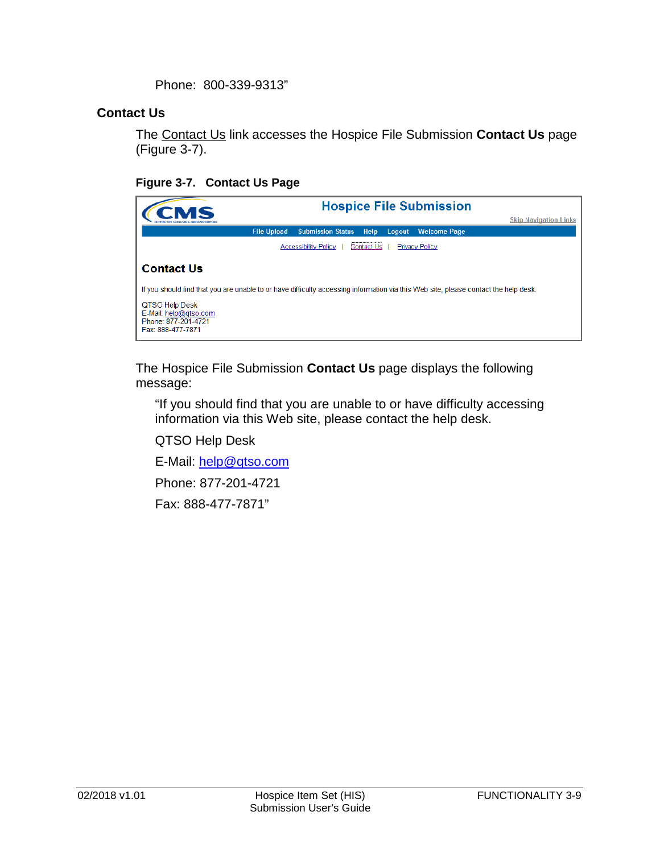Phone: 800-339-9313"

## **Contact Us**

The Contact Us link accesses the Hospice File Submission **Contact Us** page (Figure 3-7).

# **Figure 3-7. Contact Us Page**

| MS                                                                                                                                  |                                           |        | <b>Hospice File Submission</b><br><b>Skip Navigation Links</b> |
|-------------------------------------------------------------------------------------------------------------------------------------|-------------------------------------------|--------|----------------------------------------------------------------|
| <b>File Upload</b>                                                                                                                  | <b>Submission Status</b><br><b>Help</b>   | Logout | <b>Welcome Page</b>                                            |
|                                                                                                                                     | Contact Us<br><b>Accessibility Policy</b> |        | <b>Privacy Policy</b>                                          |
| <b>Contact Us</b>                                                                                                                   |                                           |        |                                                                |
| If you should find that you are unable to or have difficulty accessing information via this Web site, please contact the help desk. |                                           |        |                                                                |
| QTSO Help Desk<br>E-Mail: help@gtso.com<br>Phone: 877-201-4721<br>Fax: 888-477-7871                                                 |                                           |        |                                                                |

The Hospice File Submission **Contact Us** page displays the following message:

"If you should find that you are unable to or have difficulty accessing information via this Web site, please contact the help desk.

QTSO Help Desk

E-Mail: [help@qtso.com](mailto:help@qtso.com)

Phone: 877-201-4721

Fax: 888-477-7871"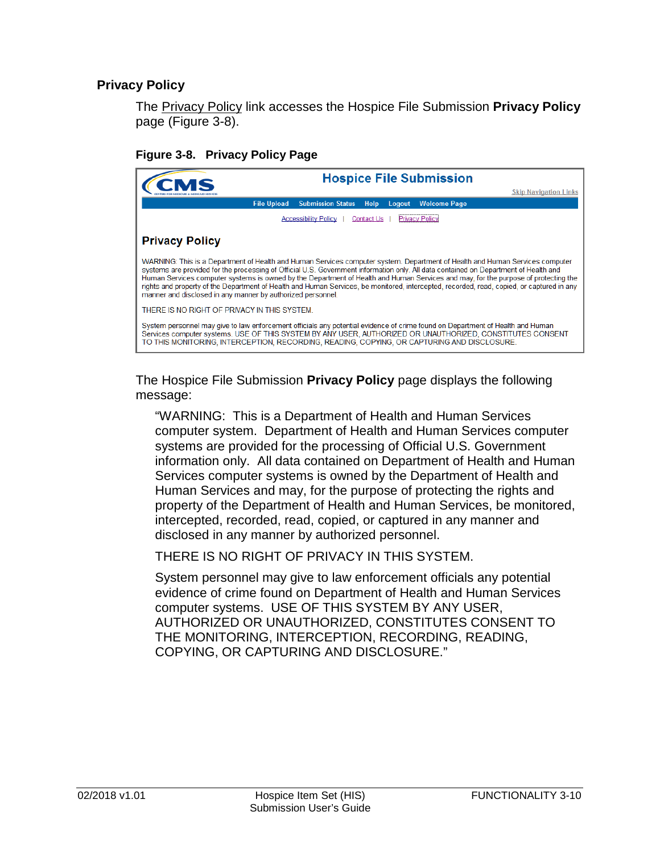# **Privacy Policy**

The Privacy Policy link accesses the Hospice File Submission **Privacy Policy** page (Figure 3-8).

**Figure 3-8. Privacy Policy Page**

| <b>Hospice File Submission</b>                                                                                                                                                                                                                                                                                                                                                                                                                                                                                                                                                                                         |
|------------------------------------------------------------------------------------------------------------------------------------------------------------------------------------------------------------------------------------------------------------------------------------------------------------------------------------------------------------------------------------------------------------------------------------------------------------------------------------------------------------------------------------------------------------------------------------------------------------------------|
| <b>Skip Navigation Links</b>                                                                                                                                                                                                                                                                                                                                                                                                                                                                                                                                                                                           |
| <b>File Upload</b><br><b>Submission Status</b><br><b>Welcome Page</b><br><b>Help</b><br>Logout                                                                                                                                                                                                                                                                                                                                                                                                                                                                                                                         |
| Privacy Policy<br><b>Accessibility Policy</b><br><b>Contact Us</b>                                                                                                                                                                                                                                                                                                                                                                                                                                                                                                                                                     |
| <b>Privacy Policy</b>                                                                                                                                                                                                                                                                                                                                                                                                                                                                                                                                                                                                  |
| WARNING: This is a Department of Health and Human Services computer system. Department of Health and Human Services computer<br>systems are provided for the processing of Official U.S. Government information only. All data contained on Department of Health and<br>Human Services computer systems is owned by the Department of Health and Human Services and may, for the purpose of protecting the<br>rights and property of the Department of Health and Human Services, be monitored, intercepted, recorded, read, copied, or captured in any<br>manner and disclosed in any manner by authorized personnel. |
| THERE IS NO RIGHT OF PRIVACY IN THIS SYSTEM.                                                                                                                                                                                                                                                                                                                                                                                                                                                                                                                                                                           |
| System personnel may give to law enforcement officials any potential evidence of crime found on Department of Health and Human<br>Services computer systems. USE OF THIS SYSTEM BY ANY USER, AUTHORIZED OR UNAUTHORIZED, CONSTITUTES CONSENT<br>TO THIS MONITORING, INTERCEPTION, RECORDING, READING, COPYING, OR CAPTURING AND DISCLOSURE.                                                                                                                                                                                                                                                                            |

The Hospice File Submission **Privacy Policy** page displays the following message:

"WARNING: This is a Department of Health and Human Services computer system. Department of Health and Human Services computer systems are provided for the processing of Official U.S. Government information only. All data contained on Department of Health and Human Services computer systems is owned by the Department of Health and Human Services and may, for the purpose of protecting the rights and property of the Department of Health and Human Services, be monitored, intercepted, recorded, read, copied, or captured in any manner and disclosed in any manner by authorized personnel.

THERE IS NO RIGHT OF PRIVACY IN THIS SYSTEM.

System personnel may give to law enforcement officials any potential evidence of crime found on Department of Health and Human Services computer systems. USE OF THIS SYSTEM BY ANY USER, AUTHORIZED OR UNAUTHORIZED, CONSTITUTES CONSENT TO THE MONITORING, INTERCEPTION, RECORDING, READING, COPYING, OR CAPTURING AND DISCLOSURE."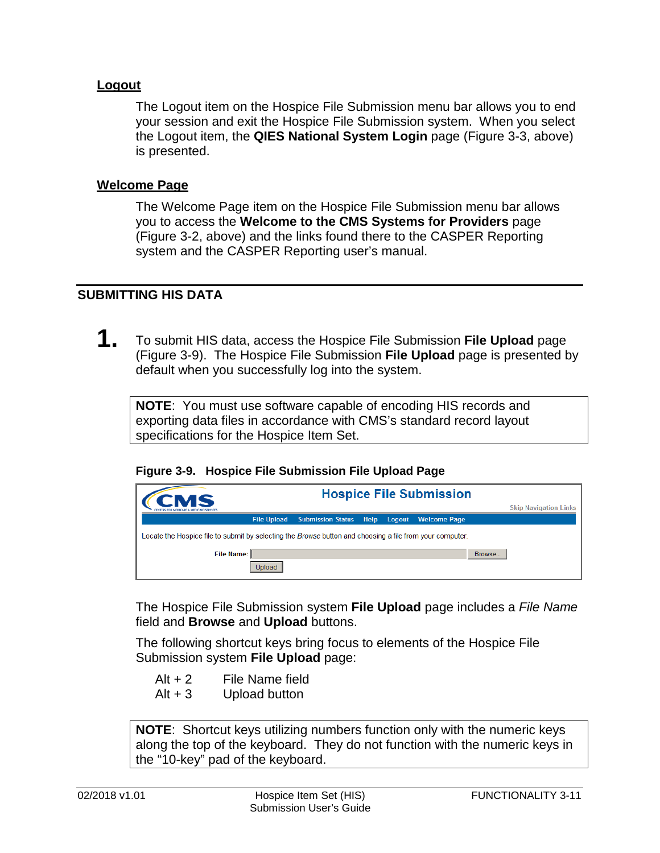#### <span id="page-10-0"></span>**Logout**

The Logout item on the Hospice File Submission menu bar allows you to end your session and exit the Hospice File Submission system. When you select the Logout item, the **QIES National System Login** page (Figure 3-3, above) is presented.

#### <span id="page-10-1"></span>**Welcome Page**

The Welcome Page item on the Hospice File Submission menu bar allows you to access the **Welcome to the CMS Systems for Providers** page (Figure 3-2, above) and the links found there to the CASPER Reporting system and the CASPER Reporting user's manual.

#### <span id="page-10-2"></span>**SUBMITTING HIS DATA**

**1.** To submit HIS data, access the Hospice File Submission **File Upload** page (Figure 3-9). The Hospice File Submission **File Upload** page is presented by default when you successfully log into the system.

**NOTE**: You must use software capable of encoding HIS records and exporting data files in accordance with CMS's standard record layout specifications for the Hospice Item Set.

|  | Figure 3-9. Hospice File Submission File Upload Page |  |  |  |  |
|--|------------------------------------------------------|--|--|--|--|
|--|------------------------------------------------------|--|--|--|--|

| <b>Hospice File Submission</b><br>CMS                                                                    |                    |                          |      |        |                     |        |                              |
|----------------------------------------------------------------------------------------------------------|--------------------|--------------------------|------|--------|---------------------|--------|------------------------------|
|                                                                                                          |                    |                          |      |        |                     |        | <b>Skip Navigation Links</b> |
|                                                                                                          | <b>File Upload</b> | <b>Submission Status</b> | Help | Logout | <b>Welcome Page</b> |        |                              |
| Locate the Hospice file to submit by selecting the Browse button and choosing a file from your computer. |                    |                          |      |        |                     |        |                              |
| File Name: II                                                                                            |                    |                          |      |        |                     | Browse |                              |
|                                                                                                          |                    |                          |      |        |                     |        |                              |

The Hospice File Submission system **File Upload** page includes a *File Name* field and **Browse** and **Upload** buttons.

The following shortcut keys bring focus to elements of the Hospice File Submission system **File Upload** page:

- $Alt + 2$  File Name field
- Alt + 3 Upload button

**NOTE**: Shortcut keys utilizing numbers function only with the numeric keys along the top of the keyboard. They do not function with the numeric keys in the "10-key" pad of the keyboard.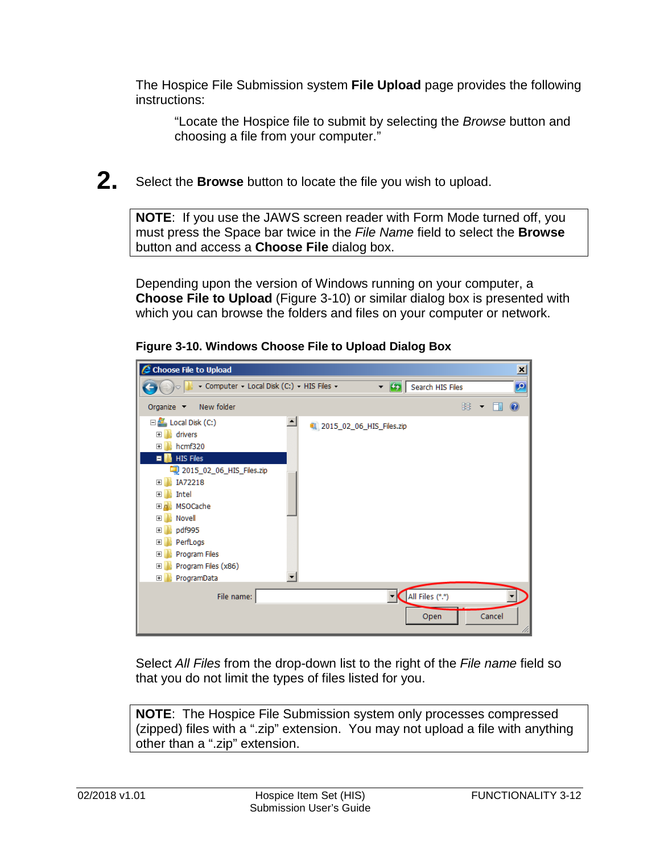The Hospice File Submission system **File Upload** page provides the following instructions:

"Locate the Hospice file to submit by selecting the *Browse* button and choosing a file from your computer."

**2.** Select the **Browse** button to locate the file you wish to upload.

**NOTE**: If you use the JAWS screen reader with Form Mode turned off, you must press the Space bar twice in the *File Name* field to select the **Browse** button and access a **Choose File** dialog box.

Depending upon the version of Windows running on your computer, a **Choose File to Upload** (Figure 3-10) or similar dialog box is presented with which you can browse the folders and files on your computer or network.



**Figure 3-10. Windows Choose File to Upload Dialog Box**

Select *All Files* from the drop-down list to the right of the *File name* field so that you do not limit the types of files listed for you.

**NOTE**: The Hospice File Submission system only processes compressed (zipped) files with a ".zip" extension. You may not upload a file with anything other than a ".zip" extension.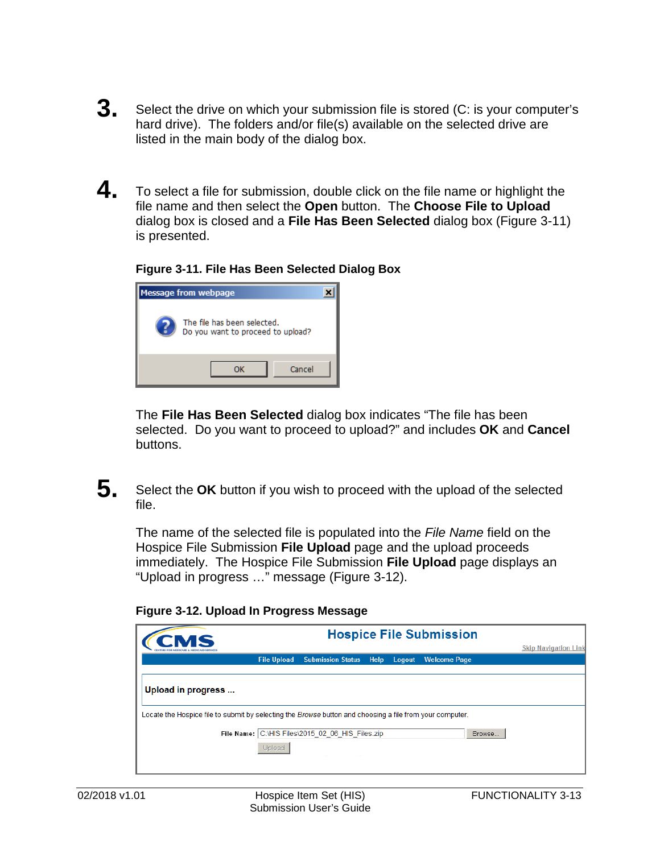- **3.** Select the drive on which your submission file is stored (C: is your computer's hard drive). The folders and/or file(s) available on the selected drive are listed in the main body of the dialog box.
- **4.** To select a file for submission, double click on the file name or highlight the file name and then select the **Open** button. The **Choose File to Upload** dialog box is closed and a **File Has Been Selected** dialog box (Figure 3-11) is presented.

## **Figure 3-11. File Has Been Selected Dialog Box**



The **File Has Been Selected** dialog box indicates "The file has been selected. Do you want to proceed to upload?" and includes **OK** and **Cancel** buttons.

**5.** Select the **OK** button if you wish to proceed with the upload of the selected file.

The name of the selected file is populated into the *File Name* field on the Hospice File Submission **File Upload** page and the upload proceeds immediately. The Hospice File Submission **File Upload** page displays an "Upload in progress …" message (Figure 3-12).

|                                                                                                          | <b>Hospice File Submission</b> |                                                  |      |        |                     |                             |
|----------------------------------------------------------------------------------------------------------|--------------------------------|--------------------------------------------------|------|--------|---------------------|-----------------------------|
|                                                                                                          |                                |                                                  |      |        |                     | <b>Skip Navigation Link</b> |
|                                                                                                          | <b>File Upload</b>             | <b>Submission Status</b>                         | Help | Logout | <b>Welcome Page</b> |                             |
|                                                                                                          |                                |                                                  |      |        |                     |                             |
| Upload in progress                                                                                       |                                |                                                  |      |        |                     |                             |
| Locate the Hospice file to submit by selecting the Browse button and choosing a file from your computer. |                                |                                                  |      |        |                     |                             |
|                                                                                                          | Upload                         | File Name: C:\HIS Files\2015 02 06 HIS Files.zip |      |        | Browse              |                             |

#### **Figure 3-12. Upload In Progress Message**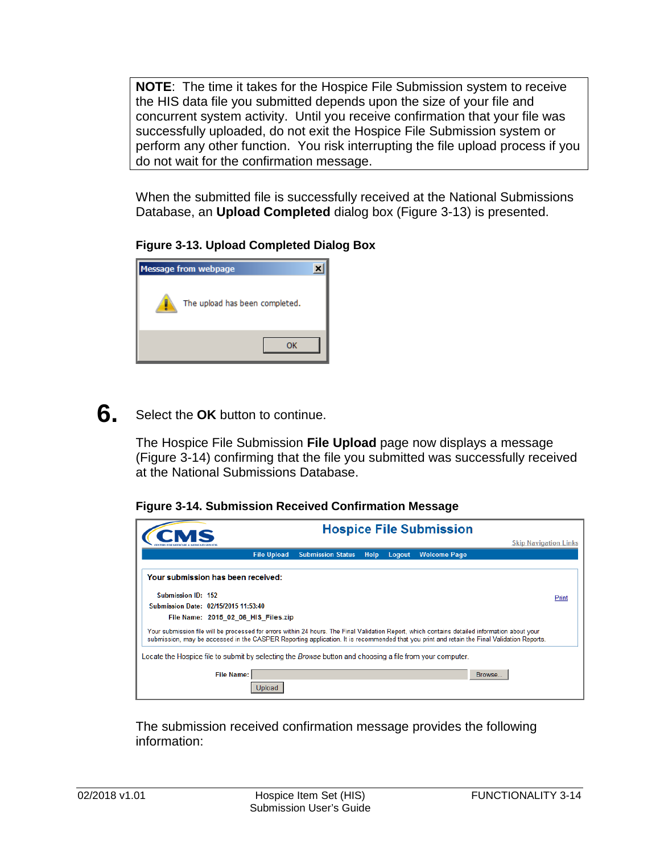**NOTE**: The time it takes for the Hospice File Submission system to receive the HIS data file you submitted depends upon the size of your file and concurrent system activity. Until you receive confirmation that your file was successfully uploaded, do not exit the Hospice File Submission system or perform any other function. You risk interrupting the file upload process if you do not wait for the confirmation message.

When the submitted file is successfully received at the National Submissions Database, an **Upload Completed** dialog box (Figure 3-13) is presented.

# **Figure 3-13. Upload Completed Dialog Box**



# **6.** Select the **OK** button to continue.

The Hospice File Submission **File Upload** page now displays a message (Figure 3-14) confirming that the file you submitted was successfully received at the National Submissions Database.

**Figure 3-14. Submission Received Confirmation Message**

|                                                                                                          |                    |                          |      |        | <b>Hospice File Submission</b>                                                                                                                                                                                                                                                               |  |
|----------------------------------------------------------------------------------------------------------|--------------------|--------------------------|------|--------|----------------------------------------------------------------------------------------------------------------------------------------------------------------------------------------------------------------------------------------------------------------------------------------------|--|
|                                                                                                          |                    |                          |      |        | <b>Skip Navigation Links</b>                                                                                                                                                                                                                                                                 |  |
|                                                                                                          | <b>File Upload</b> | <b>Submission Status</b> | Help | Logout | <b>Welcome Page</b>                                                                                                                                                                                                                                                                          |  |
| Your submission has been received:                                                                       |                    |                          |      |        |                                                                                                                                                                                                                                                                                              |  |
| Submission ID: 152                                                                                       |                    |                          |      |        | Print                                                                                                                                                                                                                                                                                        |  |
| Submission Date: 02/15/2015 11:53:40                                                                     |                    |                          |      |        |                                                                                                                                                                                                                                                                                              |  |
| File Name: 2015 02 06 HIS Files.zip                                                                      |                    |                          |      |        |                                                                                                                                                                                                                                                                                              |  |
|                                                                                                          |                    |                          |      |        | Your submission file will be processed for errors within 24 hours. The Final Validation Report, which contains detailed information about your<br>submission, may be accessed in the CASPER Reporting application. It is recommended that you print and retain the Final Validation Reports. |  |
| Locate the Hospice file to submit by selecting the Browse button and choosing a file from your computer. |                    |                          |      |        |                                                                                                                                                                                                                                                                                              |  |
| <b>File Name:</b>                                                                                        |                    |                          |      |        | Browse                                                                                                                                                                                                                                                                                       |  |
|                                                                                                          | Jpload             |                          |      |        |                                                                                                                                                                                                                                                                                              |  |

The submission received confirmation message provides the following information: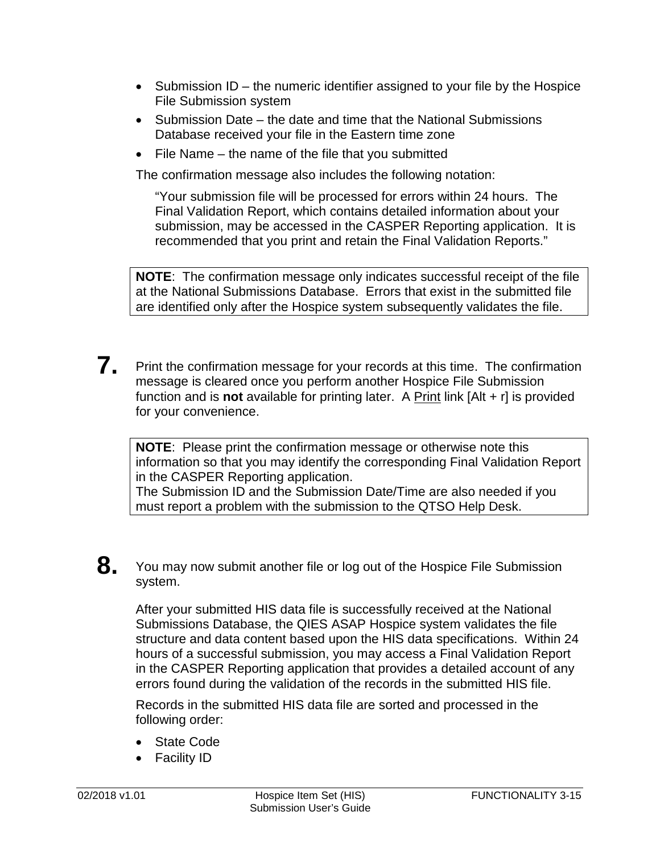- Submission ID the numeric identifier assigned to your file by the Hospice File Submission system
- Submission Date the date and time that the National Submissions Database received your file in the Eastern time zone
- File Name the name of the file that you submitted

The confirmation message also includes the following notation:

"Your submission file will be processed for errors within 24 hours. The Final Validation Report, which contains detailed information about your submission, may be accessed in the CASPER Reporting application. It is recommended that you print and retain the Final Validation Reports."

**NOTE**: The confirmation message only indicates successful receipt of the file at the National Submissions Database. Errors that exist in the submitted file are identified only after the Hospice system subsequently validates the file.

**7.** Print the confirmation message for your records at this time. The confirmation message is cleared once you perform another Hospice File Submission function and is **not** available for printing later. A Print link [Alt + r] is provided for your convenience.

**NOTE**: Please print the confirmation message or otherwise note this information so that you may identify the corresponding Final Validation Report in the CASPER Reporting application.

The Submission ID and the Submission Date/Time are also needed if you must report a problem with the submission to the QTSO Help Desk.

**8.** You may now submit another file or log out of the Hospice File Submission system.

After your submitted HIS data file is successfully received at the National Submissions Database, the QIES ASAP Hospice system validates the file structure and data content based upon the HIS data specifications. Within 24 hours of a successful submission, you may access a Final Validation Report in the CASPER Reporting application that provides a detailed account of any errors found during the validation of the records in the submitted HIS file.

Records in the submitted HIS data file are sorted and processed in the following order:

- <span id="page-14-0"></span>• State Code
- Facility ID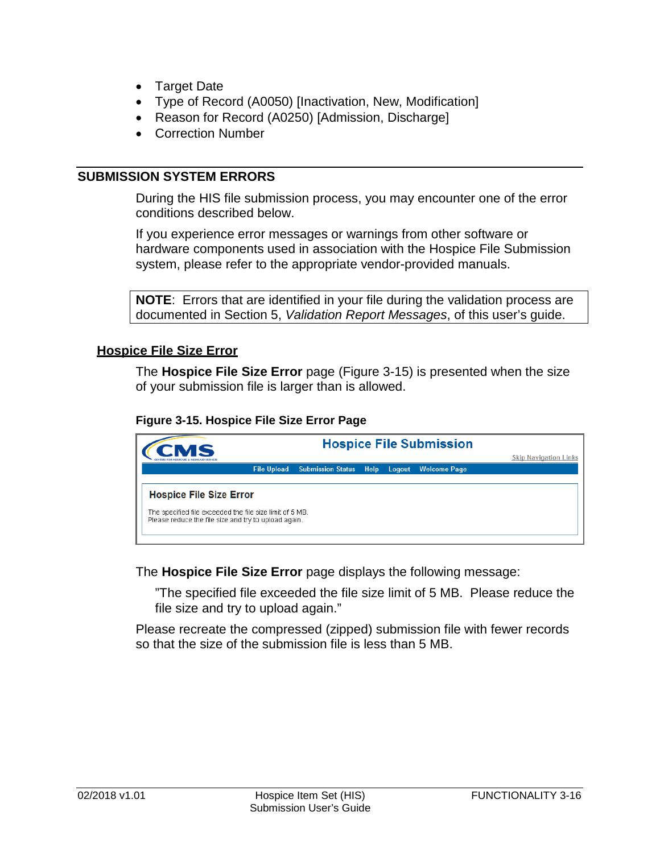- Target Date
- Type of Record (A0050) [Inactivation, New, Modification]
- Reason for Record (A0250) [Admission, Discharge]
- Correction Number

#### **SUBMISSION SYSTEM ERRORS**

During the HIS file submission process, you may encounter one of the error conditions described below.

If you experience error messages or warnings from other software or hardware components used in association with the Hospice File Submission system, please refer to the appropriate vendor-provided manuals.

**NOTE**: Errors that are identified in your file during the validation process are documented in Section 5, *Validation Report Messages*, of this user's guide.

#### <span id="page-15-0"></span>**Hospice File Size Error**

The **Hospice File Size Error** page (Figure 3-15) is presented when the size of your submission file is larger than is allowed.

#### **Figure 3-15. Hospice File Size Error Page**



The **Hospice File Size Error** page displays the following message:

"The specified file exceeded the file size limit of 5 MB. Please reduce the file size and try to upload again."

Please recreate the compressed (zipped) submission file with fewer records so that the size of the submission file is less than 5 MB.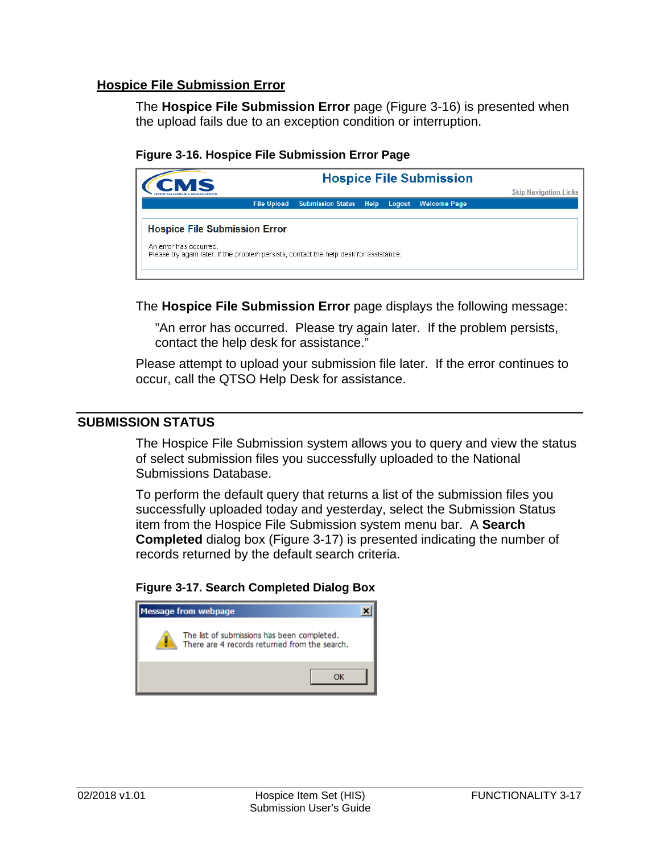# <span id="page-16-0"></span>**Hospice File Submission Error**

The **Hospice File Submission Error** page (Figure 3-16) is presented when the upload fails due to an exception condition or interruption.

#### **Figure 3-16. Hospice File Submission Error Page**



The **Hospice File Submission Error** page displays the following message:

"An error has occurred. Please try again later. If the problem persists, contact the help desk for assistance."

Please attempt to upload your submission file later. If the error continues to occur, call the QTSO Help Desk for assistance.

#### <span id="page-16-1"></span>**SUBMISSION STATUS**

The Hospice File Submission system allows you to query and view the status of select submission files you successfully uploaded to the National Submissions Database.

To perform the default query that returns a list of the submission files you successfully uploaded today and yesterday, select the Submission Status item from the Hospice File Submission system menu bar. A **Search Completed** dialog box (Figure 3-17) is presented indicating the number of records returned by the default search criteria.

#### **Figure 3-17. Search Completed Dialog Box**

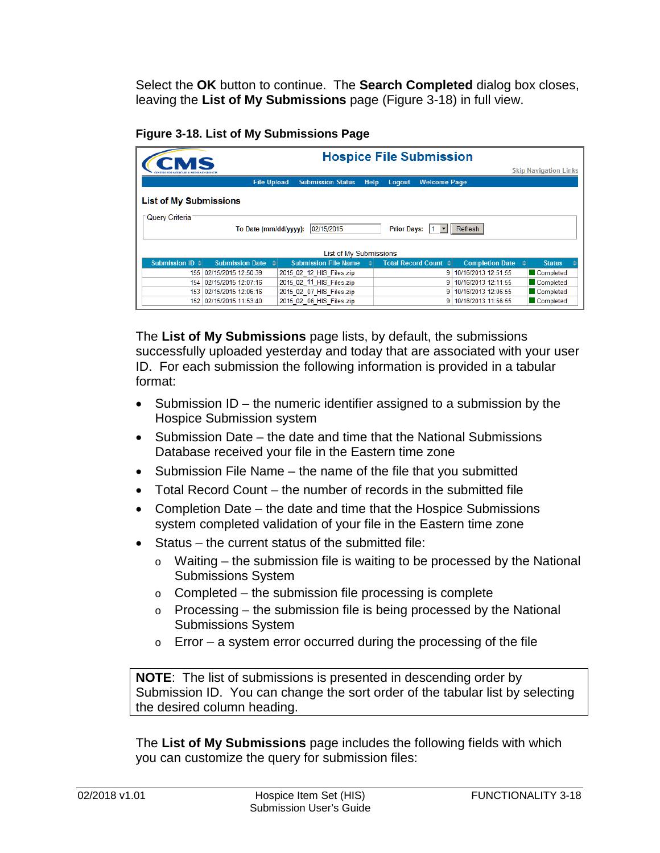Select the **OK** button to continue. The **Search Completed** dialog box closes, leaving the **List of My Submissions** page (Figure 3-18) in full view.

| Figure 3-18. List of My Submissions Page |  |  |  |  |
|------------------------------------------|--|--|--|--|
|------------------------------------------|--|--|--|--|

| CMS                                                                                           | <b>Hospice File Submission</b> |                             |             |        |                      |                        |                              |  |
|-----------------------------------------------------------------------------------------------|--------------------------------|-----------------------------|-------------|--------|----------------------|------------------------|------------------------------|--|
|                                                                                               |                                |                             |             |        |                      |                        | <b>Skip Navigation Links</b> |  |
|                                                                                               | <b>File Upload</b>             | <b>Submission Status</b>    | <b>Help</b> | Logout | <b>Welcome Page</b>  |                        |                              |  |
| <b>List of My Submissions</b>                                                                 |                                |                             |             |        |                      |                        |                              |  |
| <b>Query Criteria</b><br>02/15/2015<br><b>Prior Days:</b><br>Refresh<br>To Date (mm/dd/yyyy): |                                |                             |             |        |                      |                        |                              |  |
| List of My Submissions                                                                        |                                |                             |             |        |                      |                        |                              |  |
| Submission ID $\triangle$                                                                     | <b>Submission Date</b>         | <b>Submission File Name</b> |             |        | Total Record Count ≑ | <b>Completion Date</b> | <b>Status</b>                |  |
| 155                                                                                           | 02/15/2015 12:50:39            | 2015 02 12 HIS Files.zip    |             |        | 9.                   | 10/16/2013 12:51:55    | Completed                    |  |
| 154                                                                                           | 02/15/2015 12:07:16            | 2015 02 11 HIS Files.zip    |             |        | 9                    | 10/16/2013 12:11:55    | Completed                    |  |
| 153                                                                                           | 02/15/2015 12:06:16            | 2015 02 07 HIS Files.zip    |             |        | 9.                   | 10/16/2013 12:06:55    | Completed                    |  |
|                                                                                               | 152 02/15/2015 11:53:40        | 2015 02 06 HIS Files.zip    |             |        | 9                    | 10/16/2013 11:56:55    | Completed                    |  |

The **List of My Submissions** page lists, by default, the submissions successfully uploaded yesterday and today that are associated with your user ID. For each submission the following information is provided in a tabular format:

- Submission ID the numeric identifier assigned to a submission by the Hospice Submission system
- Submission Date the date and time that the National Submissions Database received your file in the Eastern time zone
- Submission File Name the name of the file that you submitted
- Total Record Count the number of records in the submitted file
- Completion Date the date and time that the Hospice Submissions system completed validation of your file in the Eastern time zone
- Status the current status of the submitted file:
	- o Waiting the submission file is waiting to be processed by the National Submissions System
	- o Completed the submission file processing is complete
	- o Processing the submission file is being processed by the National Submissions System
	- o Error a system error occurred during the processing of the file

**NOTE**: The list of submissions is presented in descending order by Submission ID. You can change the sort order of the tabular list by selecting the desired column heading.

The **List of My Submissions** page includes the following fields with which you can customize the query for submission files: